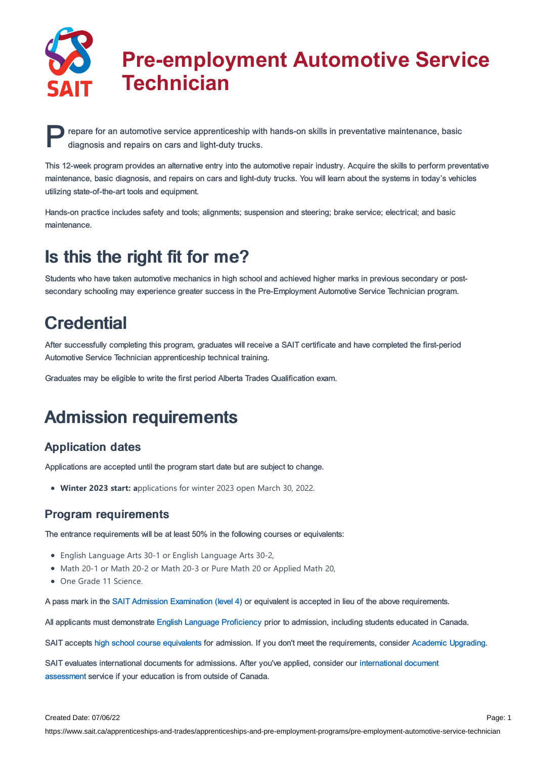

# **Pre-employment Automotive Service Technician**

**P** repare for an automotive service apprenticeship with diagnosis and repairs on cars and light-duty trucks. repare for an automotive service apprenticeship with hands-on skills in preventative maintenance, basic

This 12-week program provides an alternative entry into the automotive repair industry. Acquire the skills to perform preventative maintenance, basic diagnosis, and repairs on cars and light-duty trucks. You will learn about the systems in today's vehicles utilizing state-of-the-art tools and equipment.

Hands-on practice includes safety and tools; alignments; suspension and steering; brake service; electrical; and basic maintenance.

## Is this the right fit for me?

Students who have taken automotive mechanics in high school and achieved higher marks in previous secondary or postsecondary schooling may experience greater success in the Pre-Employment Automotive Service Technician program.

### **Credential**

After successfully completing this program, graduates will receive a SAIT certificate and have completed the first-period Automotive Service Technician apprenticeship technical training.

Graduates may be eligible to write the first period Alberta Trades Qualification exam.

# Admission requirements

### Application dates

Applications are accepted until the program start date but are subject to change.

**Winter 2023 start: a**pplications for winter 2023 open March 30, 2022.

### Program requirements

The entrance requirements will be at least 50% in the following courses or equivalents:

- English Language Arts 30-1 or English Language Arts 30-2,
- Math 20-1 or Math 20-2 or Math 20-3 or Pure Math 20 or Applied Math 20,
- One Grade 11 Science.

A pass mark in the SAIT Admission [Examination](https://www.sait.ca/student-life/learner-services/testing-services) (level 4) or equivalent is accepted in lieu of the above requirements.

All applicants must demonstrate English Language [Proficiency](https://www.sait.ca/admissions/before-you-apply/english-proficiency) prior to admission, including students educated in Canada.

SAIT accepts high school course [equivalents](https://www.sait.ca/admissions/before-you-apply/high-school-course-equivalencies) for admission. If you don't meet the requirements, consider Academic [Upgrading.](https://www.sait.ca/programs-and-courses/academic-upgrading)

SAIT evaluates [international](https://www.sait.ca/admissions/after-you-apply/international-document-assessment) documents for admissions. After you've applied, consider our international document assessment service if your education is from outside of Canada.

https://www.sait.ca/apprenticeships-and-trades/apprenticeships-and-pre-employment-programs/pre-employment-automotive-service-technician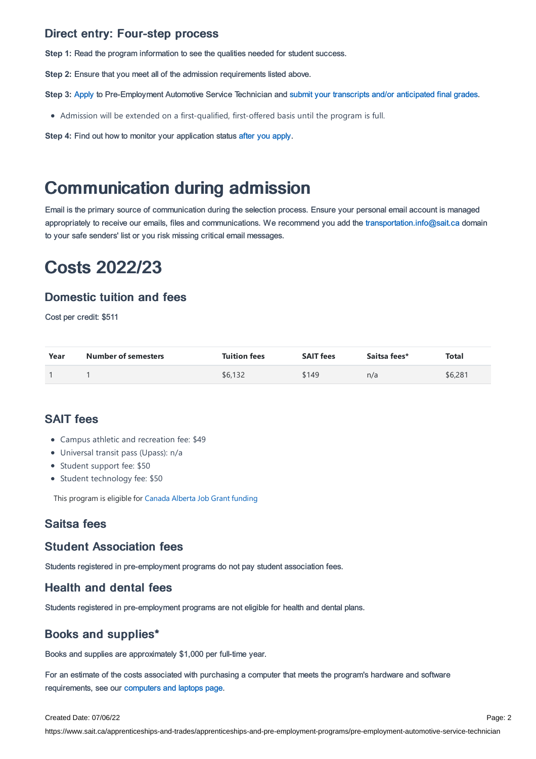#### Direct entry: Four-step process

**Step 1:** Read the program information to see the qualities needed for student success.

**Step 2:** Ensure that you meet all of the admission requirements listed above.

**Step 3:** [Apply](https://www.sait.ca/admissions/apply) to Pre-Employment Automotive Service Technician and submit your transcripts and/or [anticipated](https://www.sait.ca/admissions/after-you-apply/transcripts-and-supporting-documents) final grades.

Admission will be extended on a first-qualified, first-offered basis until the program is full.

**Step 4:** Find out how to monitor your application status after you [apply](https://www.sait.ca/admissions/after-you-apply/tracking-your-application).

### Communication during admission

Email is the primary source of communication during the selection process. Ensure your personal email account is managed appropriately to receive our emails, files and communications. We recommend you add the [transportation.info@sait.ca](https://sait.camailto:transportation.info@sait.ca) domain to your safe senders' list or you risk missing critical email messages.

## Costs 2022/23

#### Domestic tuition and fees

Cost per credit: \$511

| Year | <b>Number of semesters</b> | <b>Tuition fees</b> | <b>SAIT fees</b> | Saitsa fees* | <b>Total</b> |
|------|----------------------------|---------------------|------------------|--------------|--------------|
|      |                            | \$6,132             | \$149            | n/a          | \$6,281      |

### SAIT fees

- Campus athletic and recreation fee: \$49
- Universal transit pass (Upass): n/a
- Student support fee: \$50
- Student technology fee: \$50

This program is eligible for Canada Alberta Job Grant [funding](https://www.sait.ca/business-and-industry/canada-alberta-job-grant)

#### Saitsa fees

#### Student Association fees

Students registered in pre-employment programs do not pay student association fees.

#### Health and dental fees

Students registered in pre-employment programs are not eligible for health and dental plans.

### Books and supplies\*

Books and supplies are approximately \$1,000 per full-time year.

For an estimate of the costs associated with purchasing a computer that meets the program's hardware and software requirements, see our [computers](https://www.sait.ca/student-life/technical-support-and-resources/computers-and-laptops) and laptops page.

#### Created Date: 07/06/22

https://www.sait.ca/apprenticeships-and-trades/apprenticeships-and-pre-employment-programs/pre-employment-automotive-service-technician